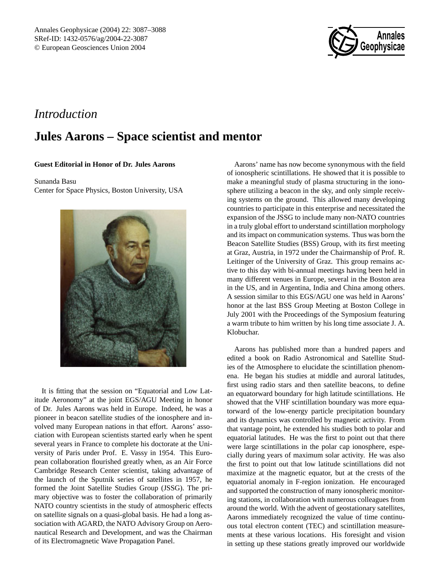

## *Introduction*

## **Jules Aarons – Space scientist and mentor**

## **Guest Editorial in Honor of Dr. Jules Aarons**

Sunanda Basu

Center for Space Physics, Boston University, USA



It is fitting that the session on "Equatorial and Low Latitude Aeronomy" at the joint EGS/AGU Meeting in honor of Dr. Jules Aarons was held in Europe. Indeed, he was a pioneer in beacon satellite studies of the ionosphere and involved many European nations in that effort. Aarons' association with European scientists started early when he spent several years in France to complete his doctorate at the University of Paris under Prof. E. Vassy in 1954. This European collaboration flourished greatly when, as an Air Force Cambridge Research Center scientist, taking advantage of the launch of the Sputnik series of satellites in 1957, he formed the Joint Satellite Studies Group (JSSG). The primary objective was to foster the collaboration of primarily NATO country scientists in the study of atmospheric effects on satellite signals on a quasi-global basis. He had a long association with AGARD, the NATO Advisory Group on Aeronautical Research and Development, and was the Chairman of its Electromagnetic Wave Propagation Panel.

Aarons' name has now become synonymous with the field of ionospheric scintillations. He showed that it is possible to make a meaningful study of plasma structuring in the ionosphere utilizing a beacon in the sky, and only simple receiving systems on the ground. This allowed many developing countries to participate in this enterprise and necessitated the expansion of the JSSG to include many non-NATO countries in a truly global effort to understand scintillation morphology and its impact on communication systems. Thus was born the Beacon Satellite Studies (BSS) Group, with its first meeting at Graz, Austria, in 1972 under the Chairmanship of Prof. R. Leitinger of the University of Graz. This group remains active to this day with bi-annual meetings having been held in many different venues in Europe, several in the Boston area in the US, and in Argentina, India and China among others. A session similar to this EGS/AGU one was held in Aarons' honor at the last BSS Group Meeting at Boston College in July 2001 with the Proceedings of the Symposium featuring a warm tribute to him written by his long time associate J. A. Klobuchar.

Aarons has published more than a hundred papers and edited a book on Radio Astronomical and Satellite Studies of the Atmosphere to elucidate the scintillation phenomena. He began his studies at middle and auroral latitudes, first using radio stars and then satellite beacons, to define an equatorward boundary for high latitude scintillations. He showed that the VHF scintillation boundary was more equatorward of the low-energy particle precipitation boundary and its dynamics was controlled by magnetic activity. From that vantage point, he extended his studies both to polar and equatorial latitudes. He was the first to point out that there were large scintillations in the polar cap ionosphere, especially during years of maximum solar activity. He was also the first to point out that low latitude scintillations did not maximize at the magnetic equator, but at the crests of the equatorial anomaly in F-region ionization. He encouraged and supported the construction of many ionospheric monitoring stations, in collaboration with numerous colleagues from around the world. With the advent of geostationary satellites, Aarons immediately recognized the value of time continuous total electron content (TEC) and scintillation measurements at these various locations. His foresight and vision in setting up these stations greatly improved our worldwide